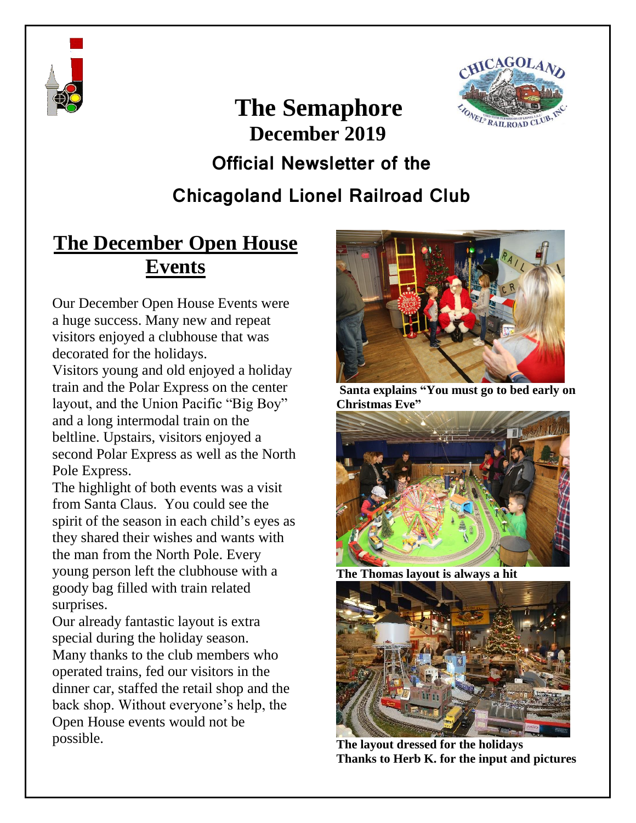



# **The Semaphore December 2019 Official Newsletter of the**

### **Chicagoland Lionel Railroad Club**

#### **The December Open House Events**

Our December Open House Events were a huge success. Many new and repeat visitors enjoyed a clubhouse that was decorated for the holidays.

Visitors young and old enjoyed a holiday train and the Polar Express on the center layout, and the Union Pacific "Big Boy" and a long intermodal train on the beltline. Upstairs, visitors enjoyed a second Polar Express as well as the North Pole Express.

The highlight of both events was a visit from Santa Claus. You could see the spirit of the season in each child's eyes as they shared their wishes and wants with the man from the North Pole. Every young person left the clubhouse with a goody bag filled with train related surprises.

Our already fantastic layout is extra special during the holiday season. Many thanks to the club members who operated trains, fed our visitors in the dinner car, staffed the retail shop and the back shop. Without everyone's help, the Open House events would not be possible.



**Santa explains "You must go to bed early on Christmas Eve"**



**The Thomas layout is always a hit**



**The layout dressed for the holidays Thanks to Herb K. for the input and pictures**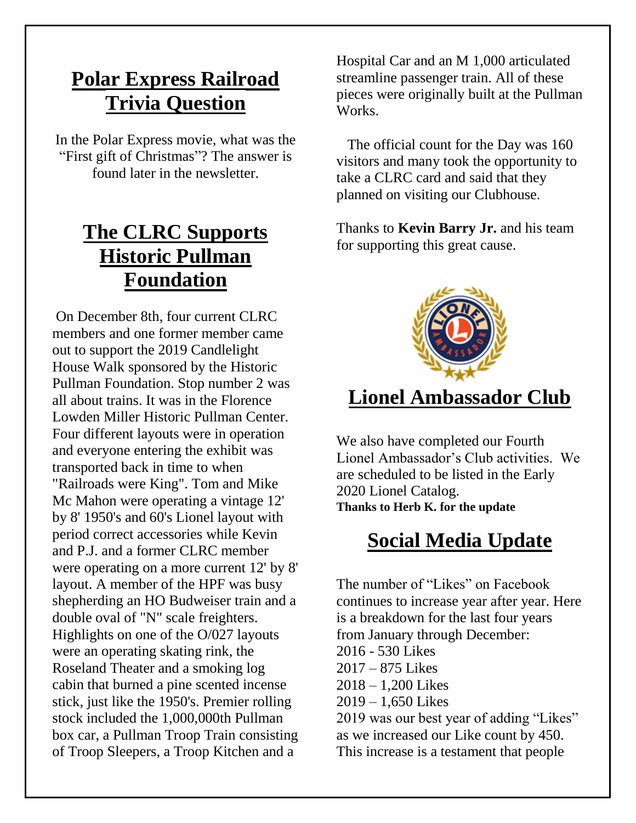#### **Polar Express Railroad Trivia Question**

In the Polar Express movie, what was the "First gift of Christmas"? The answer is found later in the newsletter.

### **The CLRC Supports Historic Pullman Foundation**

On December 8th, four current CLRC members and one former member came out to support the 2019 Candlelight House Walk sponsored by the Historic Pullman Foundation. Stop number 2 was all about trains. It was in the Florence Lowden Miller Historic Pullman Center. Four different layouts were in operation and everyone entering the exhibit was transported back in time to when "Railroads were King". Tom and Mike Mc Mahon were operating a vintage 12' by 8' 1950's and 60's Lionel layout with period correct accessories while Kevin and P.J. and a former CLRC member were operating on a more current 12' by 8' layout. A member of the HPF was busy shepherding an HO Budweiser train and a double oval of "N" scale freighters. Highlights on one of the O/027 layouts were an operating skating rink, the Roseland Theater and a smoking log cabin that burned a pine scented incense stick, just like the 1950's. Premier rolling stock included the 1,000,000th Pullman box car, a Pullman Troop Train consisting of Troop Sleepers, a Troop Kitchen and a

Hospital Car and an M 1,000 articulated streamline passenger train. All of these pieces were originally built at the Pullman Works.

The official count for the Day was 160 visitors and many took the opportunity to take a CLRC card and said that they planned on visiting our Clubhouse.

Thanks to **Kevin Barry Jr.** and his team for supporting this great cause.



#### **Lionel Ambassador Club**

We also have completed our Fourth Lionel Ambassador's Club activities. We are scheduled to be listed in the Early 2020 Lionel Catalog. **Thanks to Herb K. for the update**

### **Social Media Update**

The number of "Likes" on Facebook continues to increase year after year. Here is a breakdown for the last four years from January through December: 2016 - 530 Likes 2017 – 875 Likes 2018 – 1,200 Likes 2019 – 1,650 Likes 2019 was our best year of adding "Likes" as we increased our Like count by 450.

This increase is a testament that people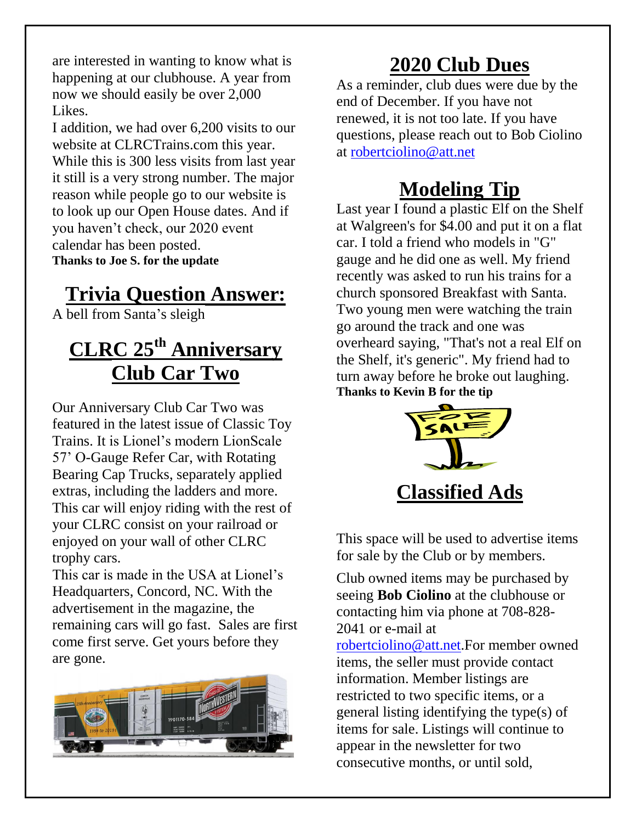are interested in wanting to know what is happening at our clubhouse. A year from now we should easily be over 2,000 Likes.

I addition, we had over 6,200 visits to our website at CLRCTrains.com this year. While this is 300 less visits from last year it still is a very strong number. The major reason while people go to our website is to look up our Open House dates. And if you haven't check, our 2020 event calendar has been posted. **Thanks to Joe S. for the update**

### **Trivia Question Answer:**

A bell from Santa's sleigh

# **CLRC 25th Anniversary Club Car Two**

Our Anniversary Club Car Two was featured in the latest issue of Classic Toy Trains. It is Lionel's modern LionScale 57' O-Gauge Refer Car, with Rotating Bearing Cap Trucks, separately applied extras, including the ladders and more. This car will enjoy riding with the rest of your CLRC consist on your railroad or enjoyed on your wall of other CLRC trophy cars.

This car is made in the USA at Lionel's Headquarters, Concord, NC. With the advertisement in the magazine, the remaining cars will go fast. Sales are first come first serve. Get yours before they are gone.



# **2020 Club Dues**

As a reminder, club dues were due by the end of December. If you have not renewed, it is not too late. If you have questions, please reach out to Bob Ciolino at [robertciolino@att.net](mailto:robertciolino@att.net)

# **Modeling Tip**

Last year I found a plastic Elf on the Shelf at Walgreen's for \$4.00 and put it on a flat car. I told a friend who models in "G" gauge and he did one as well. My friend recently was asked to run his trains for a church sponsored Breakfast with Santa. Two young men were watching the train go around the track and one was overheard saying, "That's not a real Elf on the Shelf, it's generic". My friend had to turn away before he broke out laughing. **Thanks to Kevin B for the tip**



This space will be used to advertise items for sale by the Club or by members.

Club owned items may be purchased by seeing **Bob Ciolino** at the clubhouse or contacting him via phone at 708-828- 2041 or e-mail at [robertciolino@att.net.](mailto:robertciolino@att.net)For member owned items, the seller must provide contact information. Member listings are restricted to two specific items, or a general listing identifying the type(s) of items for sale. Listings will continue to appear in the newsletter for two consecutive months, or until sold,